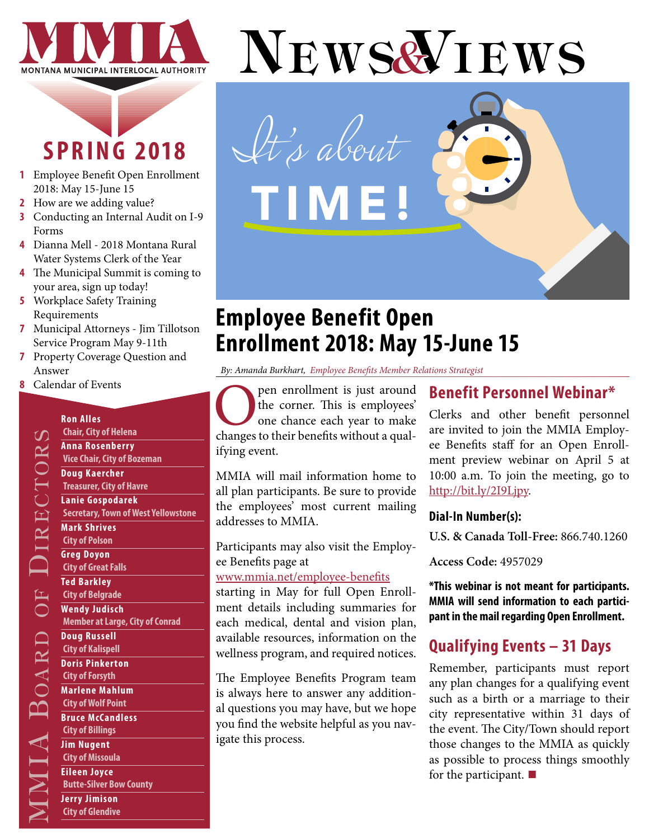

## **SPRING 2018**

- **1** Employee Benefit Open Enrollment 2018: May 15-June 15
- **2** [How are we adding value?](#page-1-0)
- **3** [Conducting an Internal Audit on I-9](#page-2-0)  [Forms](#page-2-0)
- **4** [Dianna Mell 2018 Montana Rural](#page-3-0)  [Water Systems Clerk of the Year](#page-3-0)
- **4** [The Municipal Summit is coming to](#page-3-0)  [your area, sign up today!](#page-3-0)
- **5** [Workplace Safety Training](#page-4-0)  [Requirements](#page-4-0)
- **7** [Municipal Attorneys Jim Tillotson](#page-6-0)  [Service Program May 9-11th](#page-6-0)
- **[7](#page-6-0)** Property Coverage Question and Answer

**Chair, City of Helena Anna Rosenberry Vice Chair, City of Bozeman**

**Doug Kaercher Treasurer, City of Havre Lanie Gospodarek**

**Mark Shrives City of Polson Greg Doyon City of Great Falls Ted Barkley City of Belgrade Wendy Judisch**

**Doug Russell City of Kalispell Doris Pinkerton City of Forsyth Marlene Mahlum City of Wolf Point Bruce McCandless City of Billings Jim Nugent City of Missoula Eileen Joyce**

**Secretary, Town of West Yellowstone**

**Member at Large, City of Conrad** 

**Butte-Silver Bow County**

**Jerry Jimison City of Glendive**

**8** [Calendar of Events](#page-7-0)

**Ron Alles** 

# NEWS& IEWS *It's about*  TIME!

## **Employee Benefit Open Enrollment 2018: May 15-June 15**

*By: Amanda Burkhart, Employee Benefits Member Relations Strategist*

**O** pen enrollment is just around<br>the corner. This is employees'<br>one chance each year to make<br>changes to their benefits without a qualthe corner. This is employees' one chance each year to make ifying event.

MMIA will mail information home to all plan participants. Be sure to provide the employees' most current mailing addresses to MMIA.

Participants may also visit the Employee Benefits page at

#### [www.mmia.net/employee-benefits](http://www.mmia.net/employee-benefits)

starting in May for full Open Enrollment details including summaries for each medical, dental and vision plan, available resources, information on the wellness program, and required notices.

The Employee Benefits Program team is always here to answer any additional questions you may have, but we hope you find the website helpful as you navigate this process.

## **Benefit Personnel Webinar\***

Clerks and other benefit personnel are invited to join the MMIA Employee Benefits staff for an Open Enrollment preview webinar on April 5 at 10:00 a.m. To join the meeting, go to [http://bit.ly/2I9Ljpy](http://bit.ly/2I9Ljpy ).

#### **Dial-In Number(s):**

**U.S. & Canada Toll-Free:** 866.740.1260

**Access Code:** 4957029

**\*This webinar is not meant for participants. MMIA will send information to each participant in the mail regarding Open Enrollment.**

## **Qualifying Events – 31 Days**

Remember, participants must report any plan changes for a qualifying event such as a birth or a marriage to their city representative within 31 days of the event. The City/Town should report those changes to the MMIA as quickly as possible to process things smoothly for the participant. **■**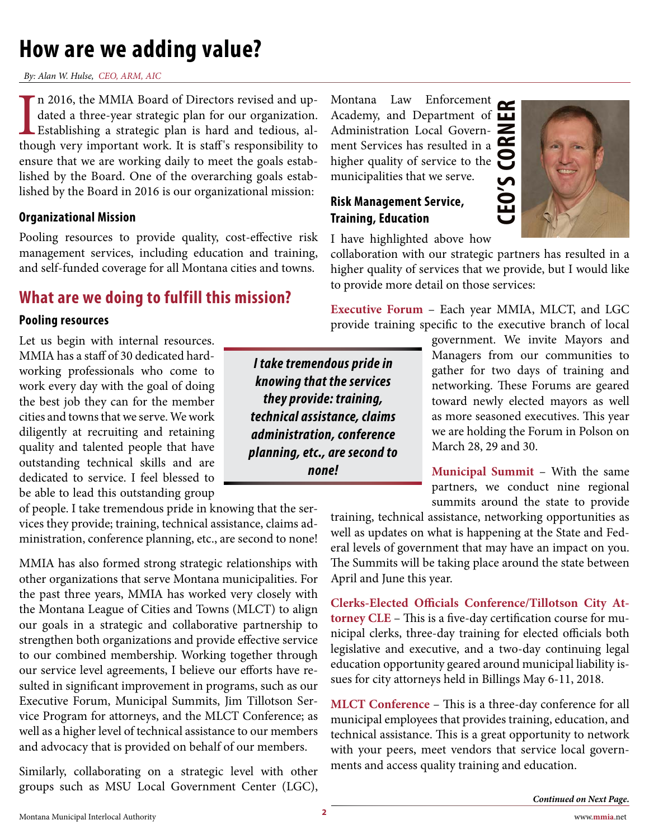## <span id="page-1-0"></span>**How are we adding value?**

*By: Alan W. Hulse, CEO, ARM, AIC* 

In 2016, the MMIA Board of Directors revised and up-<br>dated a three-year strategic plan for our organization.<br>Establishing a strategic plan is hard and tedious, al-<br>though very important work. It is staff's responsibility t n 2016, the MMIA Board of Directors revised and updated a three-year strategic plan for our organization. Establishing a strategic plan is hard and tedious, alensure that we are working daily to meet the goals established by the Board. One of the overarching goals established by the Board in 2016 is our organizational mission:

#### **Organizational Mission**

Pooling resources to provide quality, cost-effective risk management services, including education and training, and self-funded coverage for all Montana cities and towns.

## **What are we doing to fulfill this mission?**

#### **Pooling resources**

Let us begin with internal resources. MMIA has a staff of 30 dedicated hardworking professionals who come to work every day with the goal of doing the best job they can for the member cities and towns that we serve. We work diligently at recruiting and retaining quality and talented people that have outstanding technical skills and are dedicated to service. I feel blessed to be able to lead this outstanding group

of people. I take tremendous pride in knowing that the services they provide; training, technical assistance, claims administration, conference planning, etc., are second to none!

MMIA has also formed strong strategic relationships with other organizations that serve Montana municipalities. For the past three years, MMIA has worked very closely with the Montana League of Cities and Towns (MLCT) to align our goals in a strategic and collaborative partnership to strengthen both organizations and provide effective service to our combined membership. Working together through our service level agreements, I believe our efforts have resulted in significant improvement in programs, such as our Executive Forum, Municipal Summits, Jim Tillotson Service Program for attorneys, and the MLCT Conference; as well as a higher level of technical assistance to our members and advocacy that is provided on behalf of our members.

Similarly, collaborating on a strategic level with other groups such as MSU Local Government Center (LGC),

**CEO'S CORNER** Montana Law Enforcement Academy, and Department of Administration Local Government Services has resulted in a higher quality of service to the municipalities that we serve.

#### **Risk Management Service, Training, Education**

I have highlighted above how

collaboration with our strategic partners has resulted in a higher quality of services that we provide, but I would like

to provide more detail on those services: **Executive Forum** – Each year MMIA, MLCT, and LGC provide training specific to the executive branch of local

> government. We invite Mayors and Managers from our communities to gather for two days of training and networking. These Forums are geared toward newly elected mayors as well as more seasoned executives. This year we are holding the Forum in Polson on March 28, 29 and 30.

> **Municipal Summit** – With the same partners, we conduct nine regional summits around the state to provide

training, technical assistance, networking opportunities as well as updates on what is happening at the State and Federal levels of government that may have an impact on you. The Summits will be taking place around the state between April and June this year.

**Clerks-Elected Officials Conference/Tillotson City Attorney CLE** – This is a five-day certification course for municipal clerks, three-day training for elected officials both legislative and executive, and a two-day continuing legal education opportunity geared around municipal liability issues for city attorneys held in Billings May 6-11, 2018.

**MLCT Conference** – This is a three-day conference for all municipal employees that provides training, education, and technical assistance. This is a great opportunity to network with your peers, meet vendors that service local governments and access quality training and education.

*I take tremendous pride in knowing that the services they provide: training, technical assistance, claims administration, conference planning, etc., are second to none!*

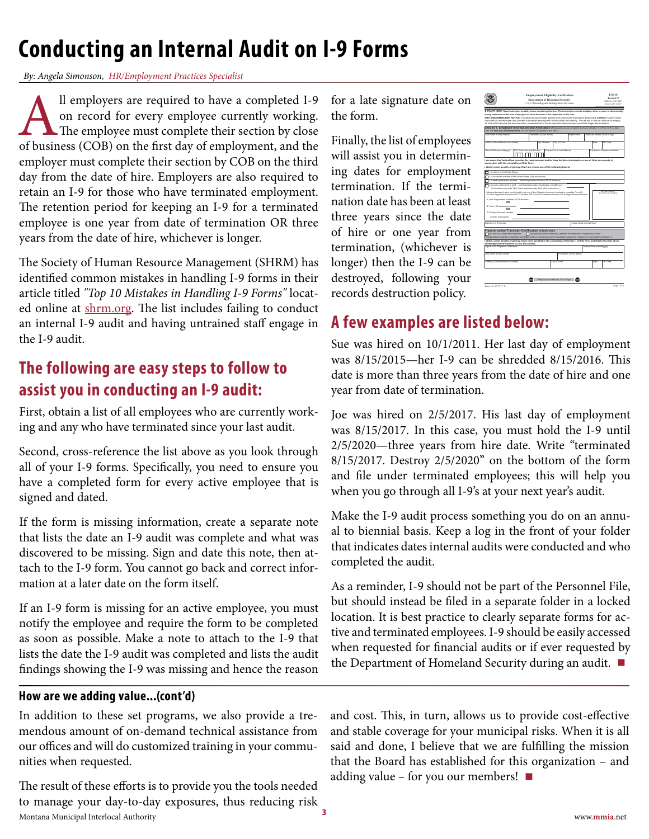## <span id="page-2-0"></span>**Conducting an Internal Audit on I-9 Forms**

*By: Angela Simonson, HR/Employment Practices Specialist*

All employers are required to have a completed I-9<br>on record for every employee currently working.<br>The employee must complete their section by close<br>of business (COB) on the first day of employment, and the on record for every employee currently working. The employee must complete their section by close of business (COB) on the first day of employment, and the employer must complete their section by COB on the third day from the date of hire. Employers are also required to retain an I-9 for those who have terminated employment. The retention period for keeping an I-9 for a terminated employee is one year from date of termination OR three years from the date of hire, whichever is longer.

The Society of Human Resource Management (SHRM) has identified common mistakes in handling I-9 forms in their article titled *"Top 10 Mistakes in Handling I-9 Forms"* located online at [shrm.org.](http://shrm.org) The list includes failing to conduct an internal I-9 audit and having untrained staff engage in the I-9 audit.

## **The following are easy steps to follow to assist you in conducting an I-9 audit:**

First, obtain a list of all employees who are currently working and any who have terminated since your last audit.

Second, cross-reference the list above as you look through all of your I-9 forms. Specifically, you need to ensure you have a completed form for every active employee that is signed and dated.

If the form is missing information, create a separate note that lists the date an I-9 audit was complete and what was discovered to be missing. Sign and date this note, then attach to the I-9 form. You cannot go back and correct information at a later date on the form itself.

If an I-9 form is missing for an active employee, you must notify the employee and require the form to be completed as soon as possible. Make a note to attach to the I-9 that lists the date the I-9 audit was completed and lists the audit findings showing the I-9 was missing and hence the reason

#### **How are we adding value...(cont'd)**

In addition to these set programs, we also provide a tremendous amount of on-demand technical assistance from our offices and will do customized training in your communities when requested.

Montana Municipal Interlocal Authority www.**mmia**.net **<sup>3</sup>** The result of these efforts is to provide you the tools needed to manage your day-to-day exposures, thus reducing risk

for a late signature date on the form.

Finally, the list of employees will assist you in determining dates for employment termination. If the termination date has been at least three years since the date of hire or one year from termination, (whichever is longer) then the I-9 can be destroyed, following your records destruction policy.



## **A few examples are listed below:**

Sue was hired on 10/1/2011. Her last day of employment was 8/15/2015—her I-9 can be shredded 8/15/2016. This date is more than three years from the date of hire and one year from date of termination.

Joe was hired on 2/5/2017. His last day of employment was 8/15/2017. In this case, you must hold the I-9 until 2/5/2020—three years from hire date. Write "terminated 8/15/2017. Destroy 2/5/2020" on the bottom of the form and file under terminated employees; this will help you when you go through all I-9's at your next year's audit.

Make the I-9 audit process something you do on an annual to biennial basis. Keep a log in the front of your folder that indicates dates internal audits were conducted and who completed the audit.

As a reminder, I-9 should not be part of the Personnel File, but should instead be filed in a separate folder in a locked location. It is best practice to clearly separate forms for active and terminated employees. I-9 should be easily accessed when requested for financial audits or if ever requested by the Department of Homeland Security during an audit. **■**

and cost. This, in turn, allows us to provide cost-effective and stable coverage for your municipal risks. When it is all said and done, I believe that we are fulfilling the mission that the Board has established for this organization – and adding value – for you our members! **■**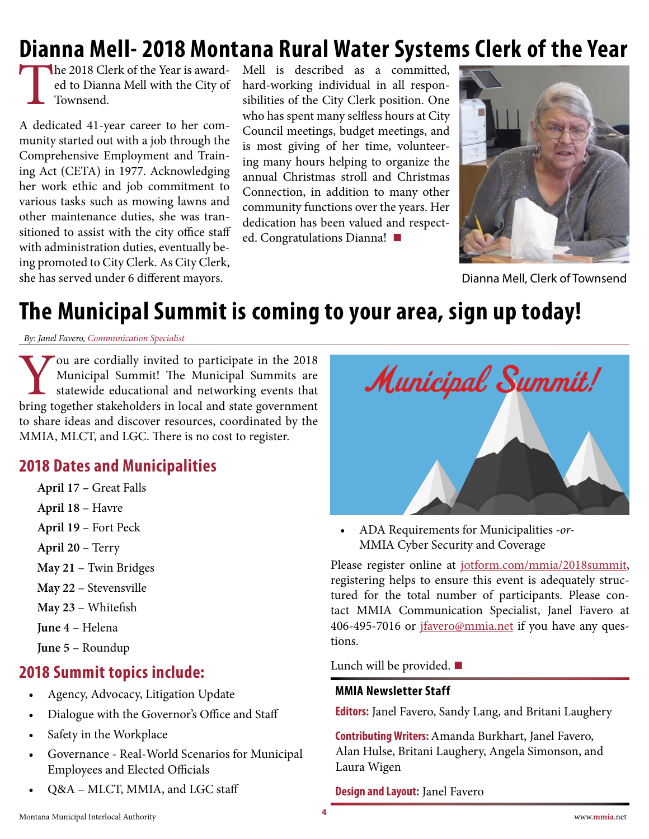## <span id="page-3-0"></span>**Dianna Mell- 2018 Montana Rural Water Systems Clerk of the Year**

The 2018 Clerk of the Year is awarded to Dianna Mell with the City of Townsend.

A dedicated 41-year career to her community started out with a job through the Comprehensive Employment and Training Act (CETA) in 1977. Acknowledging her work ethic and job commitment to various tasks such as mowing lawns and other maintenance duties, she was transitioned to assist with the city office staff with administration duties, eventually being promoted to City Clerk. As City Clerk, she has served under 6 different mayors.

Mell is described as a committed, hard-working individual in all responsibilities of the City Clerk position. One who has spent many selfless hours at City Council meetings, budget meetings, and is most giving of her time, volunteering many hours helping to organize the annual Christmas stroll and Christmas Connection, in addition to many other community functions over the years. Her dedication has been valued and respected. Congratulations Dianna! **■**



Dianna Mell, Clerk of Townsend

## **The Municipal Summit is coming to your area, sign up today!**

*By: Janel Favero, Communication Specialist*

You are cordially invited to participate in the 2018<br>Municipal Summit! The Municipal Summits are<br>statewide educational and networking events that<br>bring together stakeholders in local and state government Municipal Summit! The Municipal Summits are statewide educational and networking events that bring together stakeholders in local and state government to share ideas and discover resources, coordinated by the MMIA, MLCT, and LGC. There is no cost to register.

### **2018 Dates and Municipalities**

- **April 17 –** Great Falls
- **April 18** Havre
- **April 19** Fort Peck
- **April 20** Terry
- **May 21** Twin Bridges
- **May 22** Stevensville
- **May 23** Whitefish
- **June 4** Helena
- **June 5** Roundup

### **2018 Summit topics include:**

- Agency, Advocacy, Litigation Update
- Dialogue with the Governor's Office and Staff
- Safety in the Workplace
- Governance Real-World Scenarios for Municipal Employees and Elected Officials
- Q&A MLCT, MMIA, and LGC staff



• ADA Requirements for Municipalities *-or-*MMIA Cyber Security and Coverage

Please register online at [jotform.com/mmia/2018summit](https://www.jotform.com/mmia/2018summit), registering helps to ensure this event is adequately structured for the total number of participants. Please contact MMIA Communication Specialist, Janel Favero at 406-495-7016 or *[jfavero@mmia.net](mailto:jfavero%40mmia.net?subject=)* if you have any questions.

Lunch will be provided. **■**

#### **MMIA Newsletter Staff**

**Editors:** Janel Favero, Sandy Lang, and Britani Laughery

**Contributing Writers:** Amanda Burkhart, Janel Favero, Alan Hulse, Britani Laughery, Angela Simonson, and Laura Wigen

#### **Design and Layout:** Janel Favero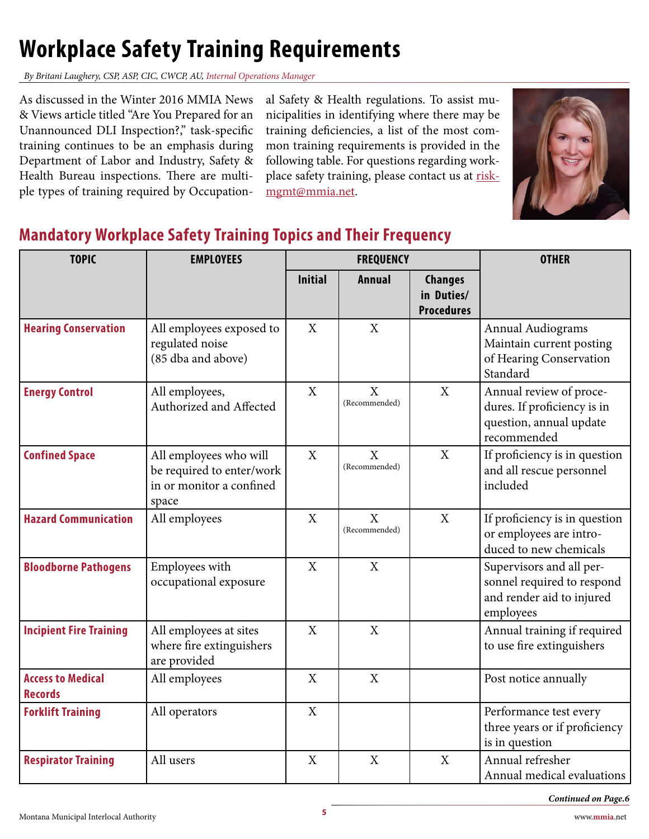## <span id="page-4-0"></span>**Workplace Safety Training Requirements**

*By Britani Laughery, CSP, ASP, CIC, CWCP, AU, Internal Operations Manager*

As discussed in the Winter 2016 MMIA News & Views article titled "Are You Prepared for an Unannounced DLI Inspection?," task-specific training continues to be an emphasis during Department of Labor and Industry, Safety & Health Bureau inspections. There are multiple types of training required by Occupation-

al Safety & Health regulations. To assist municipalities in identifying where there may be training deficiencies, a list of the most common training requirements is provided in the following table. For questions regarding workplace safety training, please contact us at [risk](mailto:riskmgmt%40mmia.net?subject=)[mgmt@mmia.net.](mailto:riskmgmt%40mmia.net?subject=)



## **Mandatory Workplace Safety Training Topics and Their Frequency**

| <b>TOPIC</b>                               | <b>EMPLOYEES</b>                                                                         | <b>FREQUENCY</b> |                               |                                                   | <b>OTHER</b>                                                                                     |
|--------------------------------------------|------------------------------------------------------------------------------------------|------------------|-------------------------------|---------------------------------------------------|--------------------------------------------------------------------------------------------------|
|                                            |                                                                                          | <b>Initial</b>   | <b>Annual</b>                 | <b>Changes</b><br>in Duties/<br><b>Procedures</b> |                                                                                                  |
| <b>Hearing Conservation</b>                | All employees exposed to<br>regulated noise<br>(85 dba and above)                        | X                | X                             |                                                   | <b>Annual Audiograms</b><br>Maintain current posting<br>of Hearing Conservation<br>Standard      |
| <b>Energy Control</b>                      | All employees,<br>Authorized and Affected                                                | X                | $\mathbf{X}$<br>(Recommended) | X                                                 | Annual review of proce-<br>dures. If proficiency is in<br>question, annual update<br>recommended |
| <b>Confined Space</b>                      | All employees who will<br>be required to enter/work<br>in or monitor a confined<br>space | X                | $\mathbf X$<br>(Recommended)  | $\mathbf X$                                       | If proficiency is in question<br>and all rescue personnel<br>included                            |
| <b>Hazard Communication</b>                | All employees                                                                            | X                | X<br>(Recommended)            | X                                                 | If proficiency is in question<br>or employees are intro-<br>duced to new chemicals               |
| <b>Bloodborne Pathogens</b>                | Employees with<br>occupational exposure                                                  | $\mathbf{X}$     | $\mathbf{X}$                  |                                                   | Supervisors and all per-<br>sonnel required to respond<br>and render aid to injured<br>employees |
| <b>Incipient Fire Training</b>             | All employees at sites<br>where fire extinguishers<br>are provided                       | X                | X                             |                                                   | Annual training if required<br>to use fire extinguishers                                         |
| <b>Access to Medical</b><br><b>Records</b> | All employees                                                                            | X                | X                             |                                                   | Post notice annually                                                                             |
| <b>Forklift Training</b>                   | All operators                                                                            | X                |                               |                                                   | Performance test every<br>three years or if proficiency<br>is in question                        |
| <b>Respirator Training</b>                 | All users                                                                                | X                | X                             | X                                                 | Annual refresher<br>Annual medical evaluations                                                   |

*Continued on Page.6*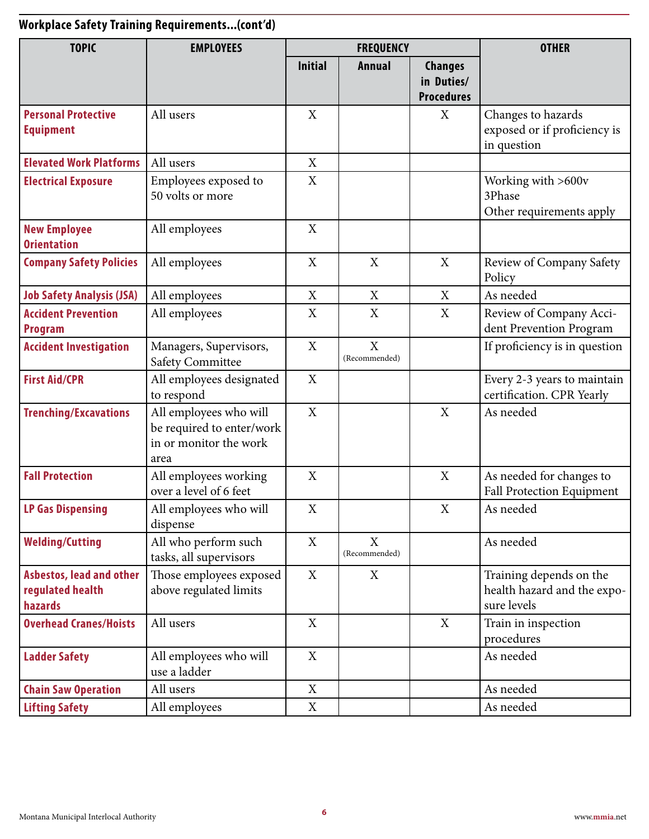## **Workplace Safety Training Requirements...(cont'd)**

| <b>TOPIC</b>                                                   | <b>EMPLOYEES</b>                                                                      | <b>FREQUENCY</b> |                              | <b>OTHER</b>                                      |                                                                       |
|----------------------------------------------------------------|---------------------------------------------------------------------------------------|------------------|------------------------------|---------------------------------------------------|-----------------------------------------------------------------------|
|                                                                |                                                                                       | <b>Initial</b>   | <b>Annual</b>                | <b>Changes</b><br>in Duties/<br><b>Procedures</b> |                                                                       |
| <b>Personal Protective</b><br><b>Equipment</b>                 | All users                                                                             | X                |                              | X                                                 | Changes to hazards<br>exposed or if proficiency is<br>in question     |
| <b>Elevated Work Platforms</b>                                 | All users                                                                             | X                |                              |                                                   |                                                                       |
| <b>Electrical Exposure</b>                                     | Employees exposed to<br>50 volts or more                                              | X                |                              |                                                   | Working with >600v<br>3Phase<br>Other requirements apply              |
| <b>New Employee</b><br><b>Orientation</b>                      | All employees                                                                         | X                |                              |                                                   |                                                                       |
| <b>Company Safety Policies</b>                                 | All employees                                                                         | X                | X                            | X                                                 | Review of Company Safety<br>Policy                                    |
| <b>Job Safety Analysis (JSA)</b>                               | All employees                                                                         | X                | X                            | X                                                 | As needed                                                             |
| <b>Accident Prevention</b><br><b>Program</b>                   | All employees                                                                         | X                | X                            | X                                                 | Review of Company Acci-<br>dent Prevention Program                    |
| <b>Accident Investigation</b>                                  | Managers, Supervisors,<br><b>Safety Committee</b>                                     | X                | $\mathbf X$<br>(Recommended) |                                                   | If proficiency is in question                                         |
| <b>First Aid/CPR</b>                                           | All employees designated<br>to respond                                                | X                |                              |                                                   | Every 2-3 years to maintain<br>certification. CPR Yearly              |
| <b>Trenching/Excavations</b>                                   | All employees who will<br>be required to enter/work<br>in or monitor the work<br>area | X                |                              | X                                                 | As needed                                                             |
| <b>Fall Protection</b>                                         | All employees working<br>over a level of 6 feet                                       | X                |                              | X                                                 | As needed for changes to<br>Fall Protection Equipment                 |
| <b>LP Gas Dispensing</b>                                       | All employees who will<br>dispense                                                    | X                |                              | X                                                 | As needed                                                             |
| <b>Welding/Cutting</b>                                         | All who perform such<br>tasks, all supervisors                                        | X                | X<br>(Recommended)           |                                                   | As needed                                                             |
| <b>Asbestos, lead and other</b><br>regulated health<br>hazards | Those employees exposed<br>above regulated limits                                     | X                | X                            |                                                   | Training depends on the<br>health hazard and the expo-<br>sure levels |
| <b>Overhead Cranes/Hoists</b>                                  | All users                                                                             | X                |                              | X                                                 | Train in inspection<br>procedures                                     |
| <b>Ladder Safety</b>                                           | All employees who will<br>use a ladder                                                | X                |                              |                                                   | As needed                                                             |
| <b>Chain Saw Operation</b>                                     | All users                                                                             | X                |                              |                                                   | As needed                                                             |
| <b>Lifting Safety</b>                                          | All employees                                                                         | X                |                              |                                                   | As needed                                                             |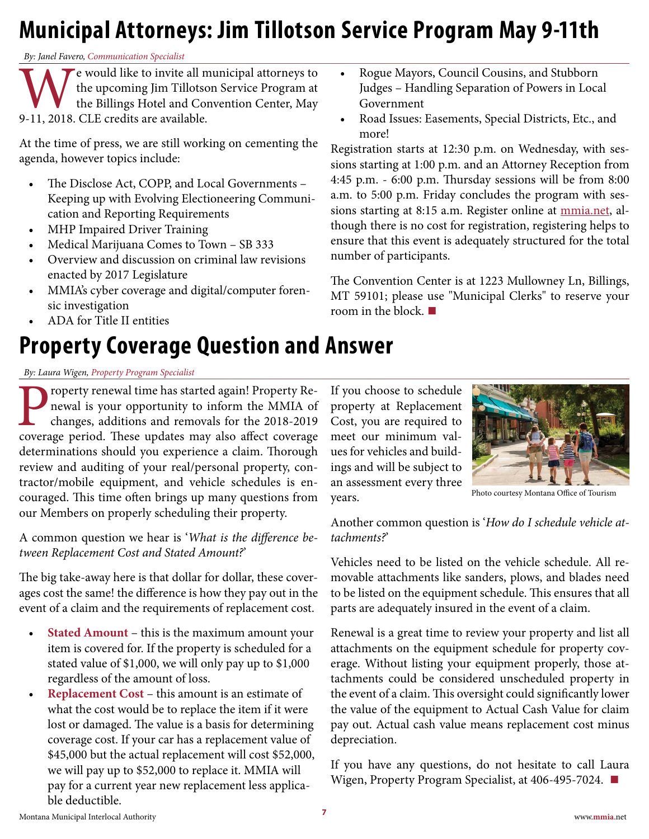## <span id="page-6-0"></span>**Municipal Attorneys: Jim Tillotson Service Program May 9-11th**

*By: Janel Favero, Communication Specialist*

e would like to invite all municipal attorneys to the upcoming Jim Tillotson Service Program at the Billings Hotel and Convention Center, May 9-11, 2018. CLE credits are available.

At the time of press, we are still working on cementing the agenda, however topics include:

- The Disclose Act, COPP, and Local Governments Keeping up with Evolving Electioneering Communication and Reporting Requirements
- MHP Impaired Driver Training
- Medical Marijuana Comes to Town SB 333
- Overview and discussion on criminal law revisions enacted by 2017 Legislature
- MMIA's cyber coverage and digital/computer forensic investigation
- ADA for Title II entities

## **Property Coverage Question and Answer**

#### *By: Laura Wigen, Property Program Specialist*

roperty renewal time has started again! Property Renewal is your opportunity to inform the MMIA of changes, additions and removals for the 2018-2019 coverage period. These updates may also affect coverage determinations should you experience a claim. Thorough review and auditing of your real/personal property, contractor/mobile equipment, and vehicle schedules is encouraged. This time often brings up many questions from our Members on properly scheduling their property.

A common question we hear is '*What is the difference between Replacement Cost and Stated Amount?*'

The big take-away here is that dollar for dollar, these coverages cost the same! the difference is how they pay out in the event of a claim and the requirements of replacement cost.

- **Stated Amount** this is the maximum amount your item is covered for. If the property is scheduled for a stated value of \$1,000, we will only pay up to \$1,000 regardless of the amount of loss.
- **Replacement Cost** this amount is an estimate of what the cost would be to replace the item if it were lost or damaged. The value is a basis for determining coverage cost. If your car has a replacement value of \$45,000 but the actual replacement will cost \$52,000, we will pay up to \$52,000 to replace it. MMIA will pay for a current year new replacement less applicable deductible.
- Rogue Mayors, Council Cousins, and Stubborn Judges – Handling Separation of Powers in Local Government
- Road Issues: Easements, Special Districts, Etc., and more!

Registration starts at 12:30 p.m. on Wednesday, with sessions starting at 1:00 p.m. and an Attorney Reception from 4:45 p.m. - 6:00 p.m. Thursday sessions will be from 8:00 a.m. to 5:00 p.m. Friday concludes the program with sessions starting at 8:15 a.m. Register online at [mmia.net](http://mmia.net), although there is no cost for registration, registering helps to ensure that this event is adequately structured for the total number of participants.

The Convention Center is at 1223 Mullowney Ln, Billings, MT 59101; please use "Municipal Clerks" to reserve your room in the block. **■**

If you choose to schedule property at Replacement Cost, you are required to meet our minimum values for vehicles and buildings and will be subject to an assessment every three years.



Photo courtesy Montana Office of Tourism

Another common question is '*How do I schedule vehicle attachments?*'

Vehicles need to be listed on the vehicle schedule. All removable attachments like sanders, plows, and blades need to be listed on the equipment schedule. This ensures that all parts are adequately insured in the event of a claim.

Renewal is a great time to review your property and list all attachments on the equipment schedule for property coverage. Without listing your equipment properly, those attachments could be considered unscheduled property in the event of a claim. This oversight could significantly lower the value of the equipment to Actual Cash Value for claim pay out. Actual cash value means replacement cost minus depreciation.

If you have any questions, do not hesitate to call Laura Wigen, Property Program Specialist, at 406-495-7024. **■**